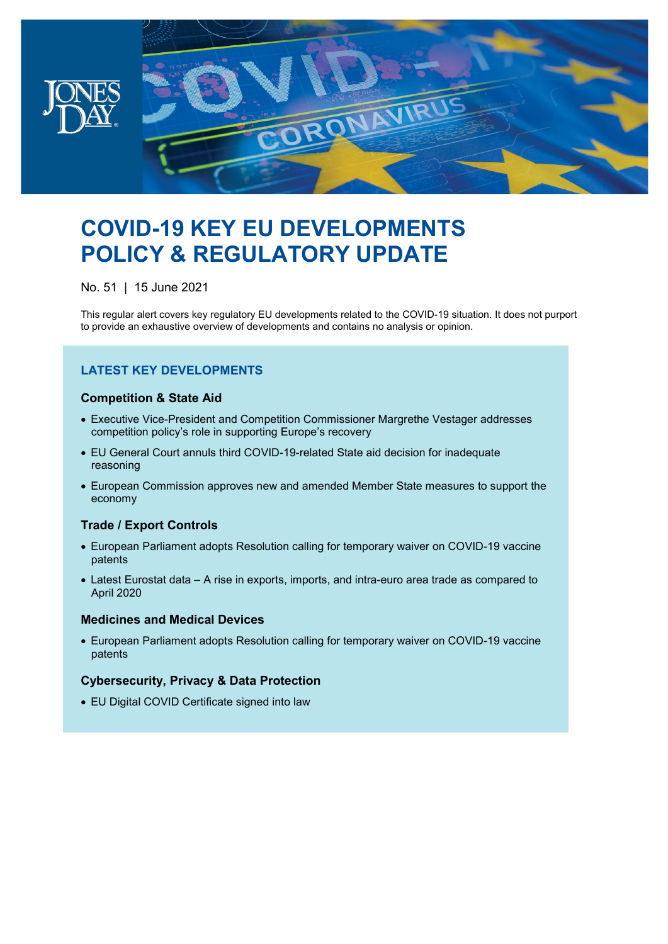

# **COVID-19 KEY EU DEVELOPMENTS POLICY & REGULATORY UPDATE**

No. 51 | 15 June 2021

This regular alert covers key regulatory EU developments related to the COVID-19 situation. It does not purport to provide an exhaustive overview of developments and contains no analysis or opinion.

# **LATEST KEY DEVELOPMENTS**

### **Competition & State Aid**

- Executive Vice-President and Competition Commissioner Margrethe Vestager addresses competition policy's role in supporting Europe's recovery
- EU General Court annuls third COVID-19-related State aid decision for inadequate reasoning
- European Commission approves new and amended Member State measures to support the economy

### **Trade / Export Controls**

- European Parliament adopts Resolution calling for temporary waiver on COVID-19 vaccine patents
- Latest Eurostat data A rise in exports, imports, and intra-euro area trade as compared to April 2020

### **Medicines and Medical Devices**

• European Parliament adopts Resolution calling for temporary waiver on COVID-19 vaccine patents

## **Cybersecurity, Privacy & Data Protection**

• EU Digital COVID Certificate signed into law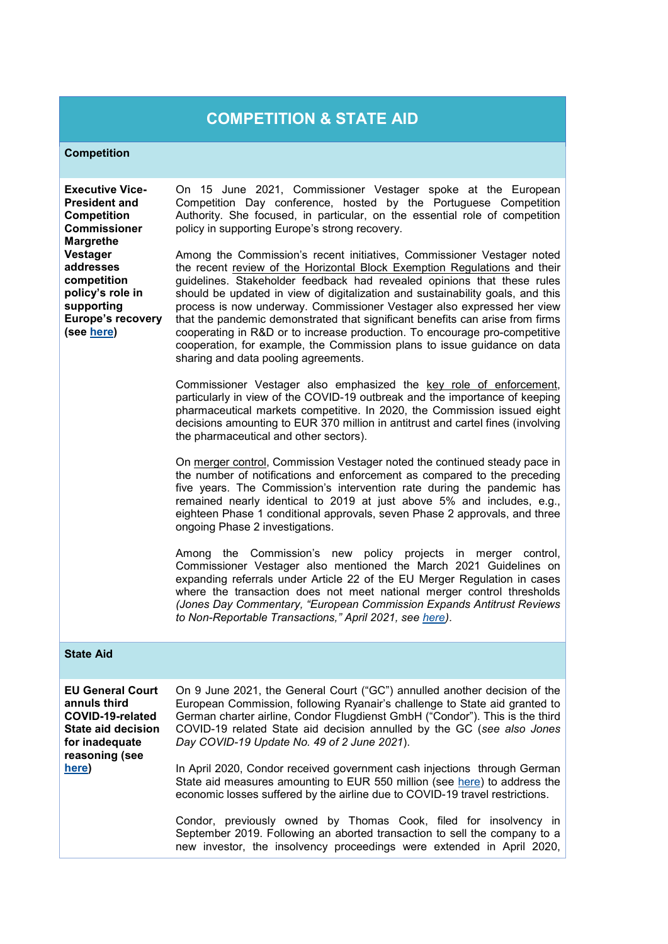# **COMPETITION & STATE AID**

#### **Competition**

**Executive Vice-President and Competition Commissioner Margrethe Vestager addresses competition policy's role in supporting Europe's recovery (see [here\)](https://ec.europa.eu/commission/commissioners/2019-2024/vestager/announcements/competition-policy-staying-course-times-change_en)**

On 15 June 2021, Commissioner Vestager spoke at the European Competition Day conference, hosted by the Portuguese Competition Authority. She focused, in particular, on the essential role of competition policy in supporting Europe's strong recovery.

Among the Commission's recent initiatives, Commissioner Vestager noted the recent review of the Horizontal Block Exemption Regulations and their guidelines. Stakeholder feedback had revealed opinions that these rules should be updated in view of digitalization and sustainability goals, and this process is now underway. Commissioner Vestager also expressed her view that the pandemic demonstrated that significant benefits can arise from firms cooperating in R&D or to increase production. To encourage pro-competitive cooperation, for example, the Commission plans to issue guidance on data sharing and data pooling agreements.

Commissioner Vestager also emphasized the key role of enforcement, particularly in view of the COVID-19 outbreak and the importance of keeping pharmaceutical markets competitive. In 2020, the Commission issued eight decisions amounting to EUR 370 million in antitrust and cartel fines (involving the pharmaceutical and other sectors).

On merger control, Commission Vestager noted the continued steady pace in the number of notifications and enforcement as compared to the preceding five years. The Commission's intervention rate during the pandemic has remained nearly identical to 2019 at just above 5% and includes, e.g., eighteen Phase 1 conditional approvals, seven Phase 2 approvals, and three ongoing Phase 2 investigations.

Among the Commission's new policy projects in merger control, Commissioner Vestager also mentioned the March 2021 Guidelines on expanding referrals under Article 22 of the EU Merger Regulation in cases where the transaction does not meet national merger control thresholds *(Jones Day Commentary, "European Commission Expands Antitrust Reviews to Non-Reportable Transactions," April 2021, see [here\)](https://www.jonesday.com/en/insights/2021/04/european-commission-expands-antitrust-reviews)*.

#### **State Aid**

| <b>EU General Court</b><br>annuls third<br>COVID-19-related<br>State aid decision<br>for inadequate<br>reasoning (see | On 9 June 2021, the General Court ("GC") annulled another decision of the<br>European Commission, following Ryanair's challenge to State aid granted to<br>German charter airline, Condor Flugdienst GmbH ("Condor"). This is the third<br>COVID-19 related State aid decision annulled by the GC (see also Jones<br>Day COVID-19 Update No. 49 of 2 June 2021).                       |
|-----------------------------------------------------------------------------------------------------------------------|----------------------------------------------------------------------------------------------------------------------------------------------------------------------------------------------------------------------------------------------------------------------------------------------------------------------------------------------------------------------------------------|
| here)                                                                                                                 | In April 2020, Condor received government cash injections through German<br>State aid measures amounting to EUR 550 million (see here) to address the<br>economic losses suffered by the airline due to COVID-19 travel restrictions.<br>Condor, previously owned by Thomas Cook, filed for insolvency in<br>September 2019. Following an aborted transaction to sell the company to a |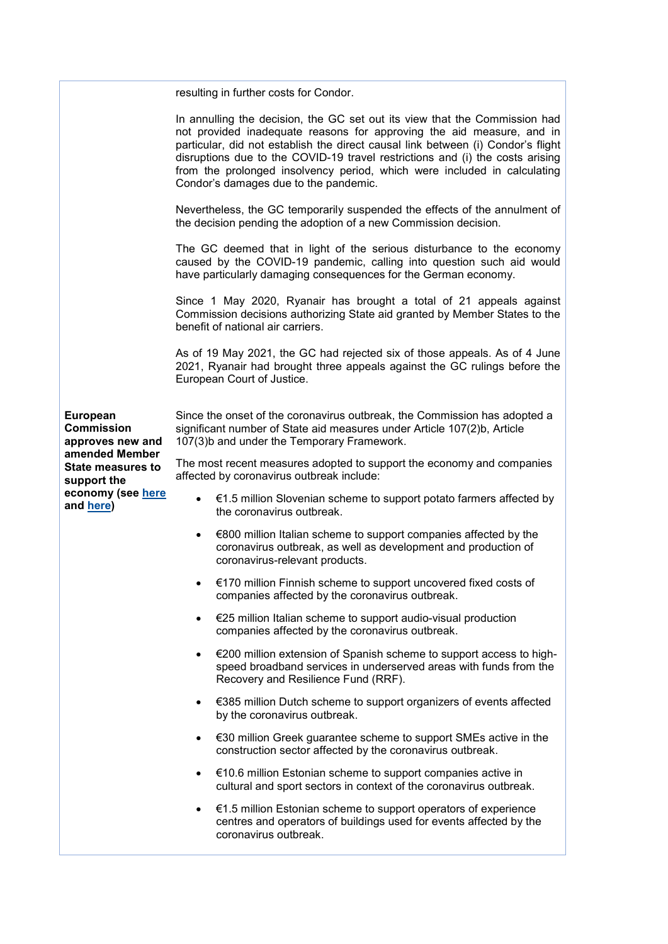|                                                                                                                                                  | resulting in further costs for Condor.                                                                                                                                                                                                                                                                                                                                                                                                        |
|--------------------------------------------------------------------------------------------------------------------------------------------------|-----------------------------------------------------------------------------------------------------------------------------------------------------------------------------------------------------------------------------------------------------------------------------------------------------------------------------------------------------------------------------------------------------------------------------------------------|
|                                                                                                                                                  | In annulling the decision, the GC set out its view that the Commission had<br>not provided inadequate reasons for approving the aid measure, and in<br>particular, did not establish the direct causal link between (i) Condor's flight<br>disruptions due to the COVID-19 travel restrictions and (i) the costs arising<br>from the prolonged insolvency period, which were included in calculating<br>Condor's damages due to the pandemic. |
|                                                                                                                                                  | Nevertheless, the GC temporarily suspended the effects of the annulment of<br>the decision pending the adoption of a new Commission decision.                                                                                                                                                                                                                                                                                                 |
|                                                                                                                                                  | The GC deemed that in light of the serious disturbance to the economy<br>caused by the COVID-19 pandemic, calling into question such aid would<br>have particularly damaging consequences for the German economy.                                                                                                                                                                                                                             |
|                                                                                                                                                  | Since 1 May 2020, Ryanair has brought a total of 21 appeals against<br>Commission decisions authorizing State aid granted by Member States to the<br>benefit of national air carriers.                                                                                                                                                                                                                                                        |
|                                                                                                                                                  | As of 19 May 2021, the GC had rejected six of those appeals. As of 4 June<br>2021, Ryanair had brought three appeals against the GC rulings before the<br>European Court of Justice.                                                                                                                                                                                                                                                          |
| European<br><b>Commission</b><br>approves new and<br>amended Member<br><b>State measures to</b><br>support the<br>economy (see here<br>and here) | Since the onset of the coronavirus outbreak, the Commission has adopted a<br>significant number of State aid measures under Article 107(2)b, Article<br>107(3)b and under the Temporary Framework.                                                                                                                                                                                                                                            |
|                                                                                                                                                  | The most recent measures adopted to support the economy and companies<br>affected by coronavirus outbreak include:                                                                                                                                                                                                                                                                                                                            |
|                                                                                                                                                  | €1.5 million Slovenian scheme to support potato farmers affected by<br>$\bullet$<br>the coronavirus outbreak.                                                                                                                                                                                                                                                                                                                                 |
|                                                                                                                                                  | €800 million Italian scheme to support companies affected by the<br>$\bullet$<br>coronavirus outbreak, as well as development and production of<br>coronavirus-relevant products.                                                                                                                                                                                                                                                             |
|                                                                                                                                                  | €170 million Finnish scheme to support uncovered fixed costs of<br>companies affected by the coronavirus outbreak.                                                                                                                                                                                                                                                                                                                            |
|                                                                                                                                                  | €25 million Italian scheme to support audio-visual production<br>$\bullet$<br>companies affected by the coronavirus outbreak.                                                                                                                                                                                                                                                                                                                 |
|                                                                                                                                                  | €200 million extension of Spanish scheme to support access to high-<br>$\bullet$<br>speed broadband services in underserved areas with funds from the<br>Recovery and Resilience Fund (RRF).                                                                                                                                                                                                                                                  |
|                                                                                                                                                  | €385 million Dutch scheme to support organizers of events affected<br>$\bullet$<br>by the coronavirus outbreak.                                                                                                                                                                                                                                                                                                                               |
|                                                                                                                                                  | €30 million Greek guarantee scheme to support SMEs active in the<br>$\bullet$<br>construction sector affected by the coronavirus outbreak.                                                                                                                                                                                                                                                                                                    |
|                                                                                                                                                  | €10.6 million Estonian scheme to support companies active in<br>$\bullet$<br>cultural and sport sectors in context of the coronavirus outbreak.                                                                                                                                                                                                                                                                                               |
|                                                                                                                                                  | €1.5 million Estonian scheme to support operators of experience<br>$\bullet$<br>centres and operators of buildings used for events affected by the<br>coronavirus outbreak.                                                                                                                                                                                                                                                                   |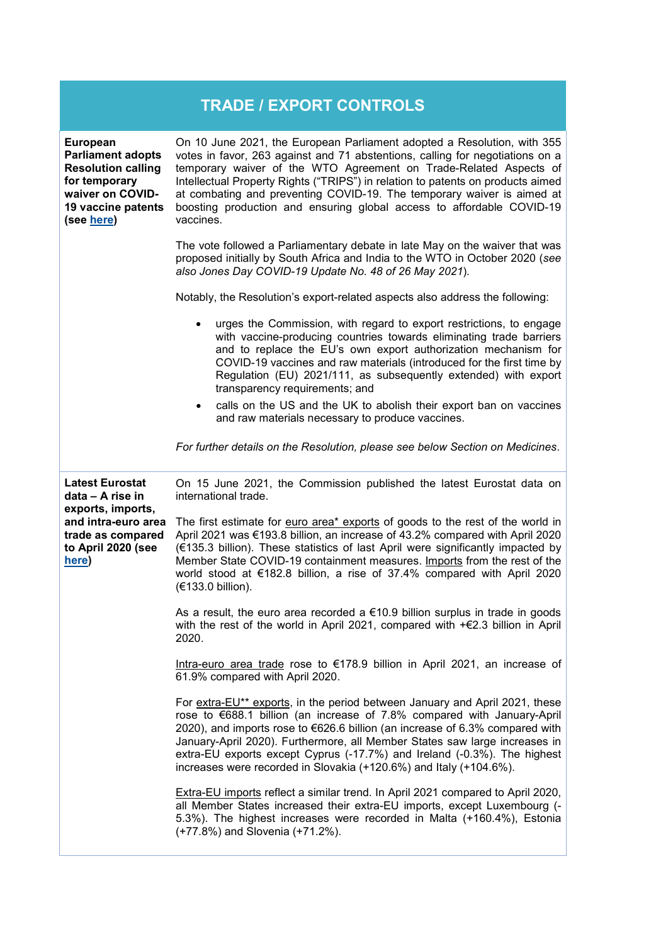| <b>TRADE / EXPORT CONTROLS</b>                                                                                                                    |                                                                                                                                                                                                                                                                                                                                                                                                                                                                                  |  |
|---------------------------------------------------------------------------------------------------------------------------------------------------|----------------------------------------------------------------------------------------------------------------------------------------------------------------------------------------------------------------------------------------------------------------------------------------------------------------------------------------------------------------------------------------------------------------------------------------------------------------------------------|--|
| <b>European</b><br><b>Parliament adopts</b><br><b>Resolution calling</b><br>for temporary<br>waiver on COVID-<br>19 vaccine patents<br>(see here) | On 10 June 2021, the European Parliament adopted a Resolution, with 355<br>votes in favor, 263 against and 71 abstentions, calling for negotiations on a<br>temporary waiver of the WTO Agreement on Trade-Related Aspects of<br>Intellectual Property Rights ("TRIPS") in relation to patents on products aimed<br>at combating and preventing COVID-19. The temporary waiver is aimed at<br>boosting production and ensuring global access to affordable COVID-19<br>vaccines. |  |
|                                                                                                                                                   | The vote followed a Parliamentary debate in late May on the waiver that was<br>proposed initially by South Africa and India to the WTO in October 2020 (see<br>also Jones Day COVID-19 Update No. 48 of 26 May 2021).                                                                                                                                                                                                                                                            |  |
|                                                                                                                                                   | Notably, the Resolution's export-related aspects also address the following:                                                                                                                                                                                                                                                                                                                                                                                                     |  |
|                                                                                                                                                   | urges the Commission, with regard to export restrictions, to engage<br>$\bullet$<br>with vaccine-producing countries towards eliminating trade barriers<br>and to replace the EU's own export authorization mechanism for<br>COVID-19 vaccines and raw materials (introduced for the first time by<br>Regulation (EU) 2021/111, as subsequently extended) with export<br>transparency requirements; and                                                                          |  |
|                                                                                                                                                   | calls on the US and the UK to abolish their export ban on vaccines<br>$\bullet$<br>and raw materials necessary to produce vaccines.                                                                                                                                                                                                                                                                                                                                              |  |
|                                                                                                                                                   | For further details on the Resolution, please see below Section on Medicines.                                                                                                                                                                                                                                                                                                                                                                                                    |  |
| <b>Latest Eurostat</b><br>data - A rise in<br>exports, imports,<br>and intra-euro area<br>trade as compared<br>to April 2020 (see<br>here)        | On 15 June 2021, the Commission published the latest Eurostat data on<br>international trade.                                                                                                                                                                                                                                                                                                                                                                                    |  |
|                                                                                                                                                   | The first estimate for euro area* exports of goods to the rest of the world in<br>April 2021 was €193.8 billion, an increase of 43.2% compared with April 2020<br>(€135.3 billion). These statistics of last April were significantly impacted by<br>Member State COVID-19 containment measures. Imports from the rest of the<br>world stood at €182.8 billion, a rise of 37.4% compared with April 2020<br>(€133.0 billion).                                                    |  |
|                                                                                                                                                   | As a result, the euro area recorded a $€10.9$ billion surplus in trade in goods<br>with the rest of the world in April 2021, compared with $+\epsilon$ 2.3 billion in April<br>2020.                                                                                                                                                                                                                                                                                             |  |
|                                                                                                                                                   | Intra-euro area trade rose to €178.9 billion in April 2021, an increase of<br>61.9% compared with April 2020.                                                                                                                                                                                                                                                                                                                                                                    |  |
|                                                                                                                                                   | For extra-EU** exports, in the period between January and April 2021, these<br>rose to €688.1 billion (an increase of 7.8% compared with January-April<br>2020), and imports rose to €626.6 billion (an increase of 6.3% compared with<br>January-April 2020). Furthermore, all Member States saw large increases in<br>extra-EU exports except Cyprus (-17.7%) and Ireland (-0.3%). The highest<br>increases were recorded in Slovakia (+120.6%) and Italy (+104.6%).           |  |
|                                                                                                                                                   | <b>Extra-EU imports reflect a similar trend. In April 2021 compared to April 2020,</b><br>all Member States increased their extra-EU imports, except Luxembourg (-<br>5.3%). The highest increases were recorded in Malta (+160.4%), Estonia<br>(+77.8%) and Slovenia (+71.2%).                                                                                                                                                                                                  |  |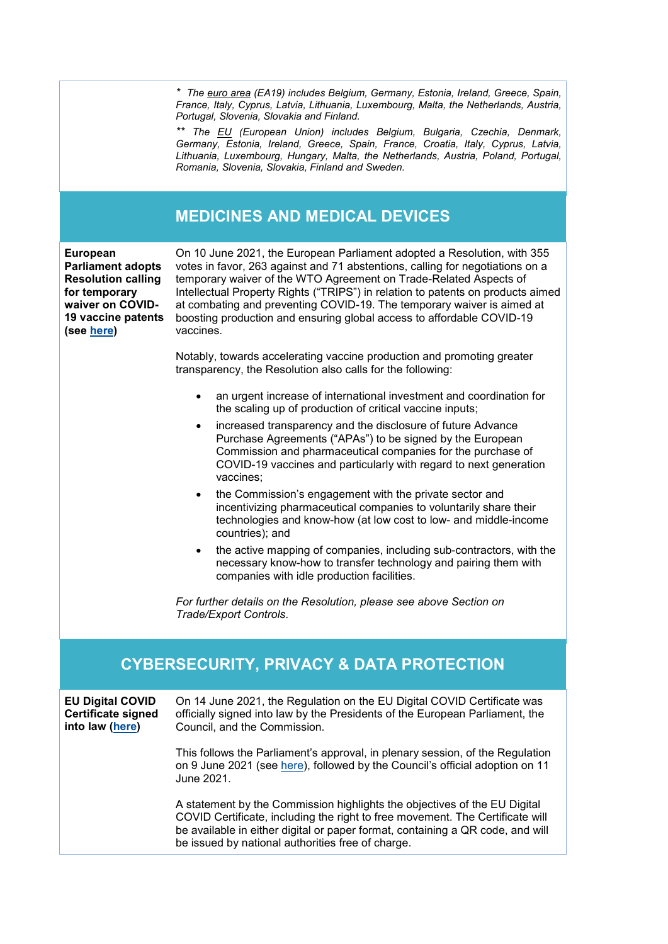*\* The euro area (EA19) includes Belgium, Germany, Estonia, Ireland, Greece, Spain, France, Italy, Cyprus, Latvia, Lithuania, Luxembourg, Malta, the Netherlands, Austria, Portugal, Slovenia, Slovakia and Finland.*

*\*\* The EU (European Union) includes Belgium, Bulgaria, Czechia, Denmark, Germany, Estonia, Ireland, Greece, Spain, France, Croatia, Italy, Cyprus, Latvia, Lithuania, Luxembourg, Hungary, Malta, the Netherlands, Austria, Poland, Portugal, Romania, Slovenia, Slovakia, Finland and Sweden.*

# **MEDICINES AND MEDICAL DEVICES**

**European Parliament adopts Resolution calling for temporary waiver on COVID-19 vaccine patents (see [here\)](https://www.europarl.europa.eu/news/en/press-room/20210604IPR05514/parliament-calls-for-temporary-covid-19-vaccine-patent-waiver)**

On 10 June 2021, the European Parliament adopted a Resolution, with 355 votes in favor, 263 against and 71 abstentions, calling for negotiations on a temporary waiver of the WTO Agreement on Trade-Related Aspects of Intellectual Property Rights ("TRIPS") in relation to patents on products aimed at combating and preventing COVID-19. The temporary waiver is aimed at boosting production and ensuring global access to affordable COVID-19 vaccines.

Notably, towards accelerating vaccine production and promoting greater transparency, the Resolution also calls for the following:

- an urgent increase of international investment and coordination for the scaling up of production of critical vaccine inputs;
- increased transparency and the disclosure of future Advance Purchase Agreements ("APAs") to be signed by the European Commission and pharmaceutical companies for the purchase of COVID-19 vaccines and particularly with regard to next generation vaccines;
- the Commission's engagement with the private sector and incentivizing pharmaceutical companies to voluntarily share their technologies and know-how (at low cost to low- and middle-income countries); and
- the active mapping of companies, including sub-contractors, with the necessary know-how to transfer technology and pairing them with companies with idle production facilities.

*For further details on the Resolution, please see above Section on Trade/Export Controls*.

# **CYBERSECURITY, PRIVACY & DATA PROTECTION**

**EU Digital COVID Certificate signed into law [\(here\)](https://ec.europa.eu/commission/presscorner/detail/en/STATEMENT_21_2965)** On 14 June 2021, the Regulation on the EU Digital COVID Certificate was officially signed into law by the Presidents of the European Parliament, the Council, and the Commission. This follows the Parliament's approval, in plenary session, of the Regulation on 9 June 2021 (see [here\)](https://www.europarl.europa.eu/news/en/press-room/20210604IPR05512/parliament-gives-its-final-green-light-to-the-eu-digital-covid-certificate), followed by the Council's official adoption on 11 June 2021. A statement by the Commission highlights the objectives of the EU Digital COVID Certificate, including the right to free movement. The Certificate will be available in either digital or paper format, containing a QR code, and will be issued by national authorities free of charge.